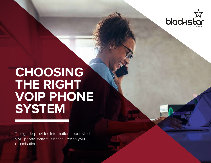

# **CHOOSING THE RIGHT VOIP PHONE SYSTEM**

This guide provides information about which VoIP phone system is best suited to your organisation.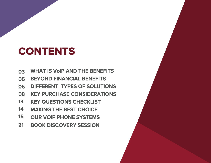# CONTENTS

- **03 WHAT IS VoIP AND THE BENEFITS**
- **05 BEYOND FINANCIAL BENEFITS**
- **06 DIFFERENT TYPES OF SOLUTIONS**
- **08 KEY PURCHASE CONSIDERATIONS**
- **13 KEY QUESTIONS CHECKLIST**
- **14 MAKING THE BEST CHOICE**
- **15 OUR VOIP PHONE SYSTEMS**
- **21 BOOK DISCOVERY SESSION**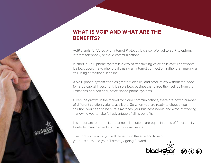## **WHAT IS VOIP AND WHAT ARE THE BENEFITS?**

VoIP stands for Voice over Internet Protocol. It is also referred to as IP telephony, internet telephony, or cloud communications.

In short, a VoIP phone system is a way of transmitting voice calls over IP networks. It allows users make phone calls using an internet connection, rather than making a call using a traditional landline.

A VoIP phone system enables greater flexibility and productivity without the need for large capital investment. It also allows businesses to free themselves from the limitations of traditional, office-based phone systems.

Given the growth in the market for cloud communications, there are now a number of different solution variants available. So when you are ready to choose your solution, you need to be sure it matches your business needs and ways of working – allowing you to take full advantage of all its benefits.

It is important to appreciate that not all solutions are equal in terms of functionality, flexibility, management complexity or resilience.

The right solution for you will depend on t[he size and type of](http://bit.ly/BlackstarSolutions) your business and your IT strategy going forward.

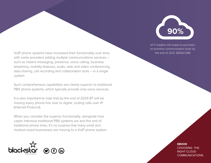

of IT leaders will cease to purchase on-premise communication tools by the end of 2021. (IDEACOM)

VoIP phone systems have increased their functionality over time, with some providers adding multiple communications services – such as instant messaging, presence, voice calling, business telephony, mobility features, audio, web and video conferencing, data sharing, call recording and collaboration tools – in a single system.

Such comprehensive capabilities are clearly superior to traditional PBX phone systems, which typically provide only voice services.

It is also important to note that by the end of 2025 BT will be moving every phone line over to digital, routing calls over IP (Internet Protocol).

When you consider the superior functionality, alongside how capex intensive traditional PBX systems are and the end of traditional phone lines, it's no surprise that many small and medium-sized businesses are moving to a VoIP phone system.



**EBOOK**  CHOOSING THE RIGHT CLOUD **COMMUNICATIONS**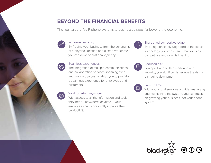### **BEYOND THE FINANCIAL BENEFITS**

The real value of VoIP phone systems to businesses goes far beyond the economic.



#### Increased e ciency

By freeing your business from the constraints of a physical location and a fixed workforce, you can drive operational e ciency.

#### Seamless experiences

The integration of multiple communications and collaboration services spanning fixed and mobile devices, enables you to provide a seamless experience for employees and customers.

#### Work smarter, anywhere

With access to all the information and tools they need –anywhere, anytime – your employees can significantly improve their productivity.



#### Sharpened competitive edge

By being constantly upgraded to the latest technology, you can ensure that you stay competitive and don't fall behind.



#### Reduced risk

Equipped with built-in resilience and security, you significantly reduce the risk of damaging downtime.



#### Free up time

With your cloud services provider managing and maintaining the system, you can focus on growing your business, not your phone system.

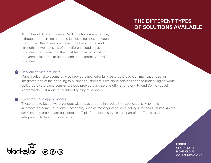## **THE DIFFERENT TYPES OF SOLUTIONS AVAILABLE**

A number of different types of VoIP solutions are available, although there are no hard and fast dividing lines between them. Often the differences reflect the background and strengths or weaknesses of the different cloud service providers themselves. So the most helpful way to distinguish between solutions is to understand the different types of providers.

#### 1 Network service providers

Many traditional telecoms service providers now offer fully featured Cloud Communications as an integrated part of their offering to business customers. With cloud services and the underlying network delivered by the same company, these providers are able to offer strong end-to-end Service Level Agreements (SLAs) with guaranteed quality of service.

#### 2 **IT-centric cloud app providers**

These tend to be software vendors with a background in productivity applications, who have incorporated communications functionality such as messaging or voice calling into their IT suites. As the services they provide are built onto the IT platform, these services are part of the IT suite and not integrated into telephony systems.



**EBOOK**  CHOOSING THE RIGHT CLOUD COMMUNICATIONS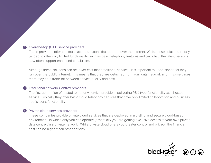#### Over-the-top (OTT) service providers 3

These providers offer communications solutions that operate over the Internet. Whilst these solutions initially tended to offer only limited functionality (such as basic telephony features and text chat), the latest versions now often support enhanced capabilities.

Although these solutions can be lower cost than traditional services, it is important to understand that they run over the public Internet. This means that they are detached from your data network and in some cases there may be a trade-off between service quality and cost.

#### Traditional network Centrex providers 4

The first generation of hosted telephony service providers, delivering PBX-type functionality as a hosted service. Typically they offer basic cloud telephony services that have only limited collaboration and business applications functionality.

#### Private cloud services providers 5

These companies provide private cloud services that are deployed in a distinct and secure cloud-based environment, in which only you can operate (essentially you are getting exclusive access to your own private data centre via a private network). While private cloud offers you greater control and privacy, the financial cost can be higher than other options.

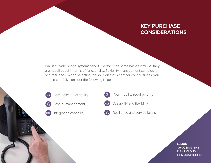## **KEY PURCHASE CONSIDERATIONS**

Whilst all VoIP phone systems tend to perform the same basic functions, they are not all equal in terms of functionality, flexibility, management complexity and resilience. When selecting the solution that's right for your business, you should carefully consider the following issues:









Your mobility requirements



Scalability and flexibility



Resilience and service levels

#### **EBOOK**  CHOOSING THE RIGHT CLOUD COMMUNICATIONS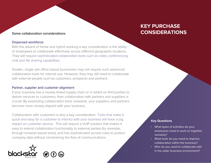#### Dispersed workforce

With the advent of home and hybrid working a key consideration is the ability of employees to collaborate effectively across different geographic locations. They will require sophisticated collaboration tools such as video conferencing, chat and file sharing capabilities.

Smaller, single site office based businesses may not require such advanced collaboration tools for internal use. However, they may still need to collaborate with external people such as customers, prospects and partners.

#### Partner, supplier and customer alignment

If your business has a closely linked supply chain or is reliant on third-parties to deliver services to customers, then collaboration with partners and suppliers is crucial. By expanding collaboration tools outwards, your suppliers and partners become more closely aligned with your business.

Collaboration with customers is also a key consideration. Tools that make it quick and easy for a customer to interact with your business will have a big impact on customer service. This will require a VoIP solution that makes it easy to extend collaboration functionality to external parties (for example, through browser-based tools), and has sophisticated access rules to protect [company data witho](http://bit.ly/BlackstarSolutions)ut constraining the flow of communications.



## **KEY PURCHASE Some collaboration considerations** *CONSIDERATIONS*

- What types of activities do your employees need to work on together remotely?
- What tools do you need to improve collaboration within the business?
- Who do you need to collaborate with in the wider business environment?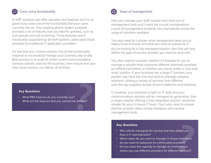### Core voice functionality

A VoIP solutions can offer valuable new features, but it's no good if you lose a lot of the functionality that your users currently rely on. Your existing phone system probably provides a lot of features that you take for granted, such as hunt groups and call screening. Those features aren't necessarily supported by all VoIP systems, particularly those provided by traditional IT application providers.

It's vital that your chosen solution has all the functionality required to successfully manage your business day-to-day. Best practice is to audit all of the current communications services actively used by the business, then ensure that your new cloud solution can deliver all of these.

#### **Key Questions**

- What PBX features do you currently use? •
- What are the features that you cannot live without? **P.2**<br> **P.2**<br> **P.2**<br> **P.2**<br> **P.2**



#### Ease of management

How you manage your VoIP solution and what sort of management tools you'll need are crucial considerations. Levels of management simplicity vary dramatically across the range of solutions available.

You also need to consider what management tasks you're happy to do in-house and what you want to outsource. If

you're looking for a fully-managed solution, then this will help define the type of service provider you need to work with.

You also need to consider whether it's feasible for you to manage a solution that comprises different elements provided by different providers, or whether you would prefer a 'one-stop shop' solution. If your business has a large IT function, your people may have the time and skills to manage complex solutions, utilising a variety of services from different over-the-top suppliers across di˝erent platforms and networks.

If, however, your business is light on IT skills and your communications solution will be managed by generalists, then a single supplier offering a fully integrated solution would be simpler for your in-house IT team. You'll also need to ensure that the provider offers simple interfaces and intuitive management tools.

- Who will be managing the service and how skilled are they in IT and telecoms?
- Which tasks do you want to manage in-house and which do you want to outsource to a third-party provider? skilled are<br>e and which<br>pvider?<br>ironment<br><sup>.</sup>nt services?
- Do you have the capacity to manage an environment where you use different providers for different services?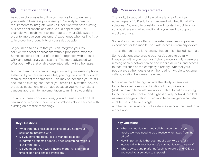## Integration capability

As you explore ways to utilise communications to enhance your existing business processes, you're likely to identify requirements to integrate your VoIP solution with both existing business applications and other cloud applications. For example, you might want to integrate with your CRM system in order to improve your customers' experience when calling in, or to improve the productivity of your sales people.

So you need to ensure that you can integrate your VoIP solution with other applications without prohibitive expense. Some solutions offer 'out-of-the-box' integration with popular CRM and productivity applications. The more advanced will offer open APIs that enable easy integration with other apps.

Another area to consider is integration with your existing phone systems. If you have multiple sites, you might not want to switch them all over at the same time. This may be because you're still tied into an existing contract or you haven't fully written-down a previous investment, or perhaps because you want to take a cautious approach to implementation to minimise your risks.

For any of these considerations, you will need a solution that can support a hybrid model which combines cloud services with existing on-premise technology.



### Your mobility requirements

The ability to support mobile workers is one of the key advantages of VoIP solutions compared with traditional PBX solutions. You need to consider how important mobility is for your business and what functionality you need to support mobile workers.

Some VoIP solutions offer a completely seamless app-based experience for the mobile user, with access – from any device

– to all the tools and functionality that an office-based user has.

Some solutions also enable business's users to be fully integrated within your business' phone network, with seamless moving of calls between fixed and mobile devices, and access to features such as the company directory. Whether your people are at their desks or on the road is invisible to external callers; location becomes irrelevant.

More advanced offerings include the ability for services to be delivered over a combination of fixed, wireless (Wi-Fi) and mobile/cellular networks, with automatic switching to the most cost-effective and highest quality network available as users change location. Fixed mobile convergence can also enable users to have a single

number across fixed and mobile devices without the need for a mobile app.

- What other business applications do you need your solution to integrate with?
- Do you have the resources to manage bespoke integration projects or do you need something which is 'out-of-the-box'?
- Do you need to run with a hybrid model for a period of time as part of a phased transition?

- What communications and collaboration tools do your mobile workers need to be effective when away from the office? **Example Sections**<br> **Example Sections**<br> **Key Questions**<br> **Revaluations**<br> **Properties Android and Collaboration tools do your**<br> **Properties and Collaboration tools do your**<br> **Properties Android and Example 2011**<br> **Propertie** 
	- How important is it that your mobile workers are fully integrated with your business's communications network?
	- What devices and platforms (such as Android and iOS) do you need your solution to support?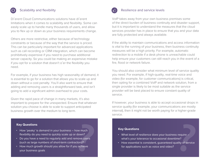### Scalability and flexibility

Di˝erent Cloud Communications solutions have di˝erent limitations when it comes to scalability and flexibility. Some can easily scale up to handle many thousands of users, and allow you to flex up or down as your business requirements change.

Others are more restrictive, either because of technology constraints or because of the way that the service is priced. This can be particularly important for advanced applications such as call recording or CRM integration, which can become prohibitively expensive if you need to purchase additional server capacity. So you could be making an expensive mistake if you opt for a solution that doesn't o˝er the flexibility you need.

For example, if your business has high seasonality of demand, it is essential to go for a solution that allows you to scale up and down without a cost penalty. You'll also want to ensure that adding and removing users is a straightforward task, and isn't going to add a significant admin overhead to your costs.

Given the rapid pace of change in many markets, it's also important to prepare for the unexpected. Ensure that whatever solution you choose is able to scale to support anticipated business growth over the medium to long term.

- How 'peaky' is demand in your business how much flexibility do you need to quickly scale up or down?
- Do you have a need to regularly add and remove users (such as large numbers of short-term contractors)?
- How much growth should you allow for if you achieve your business goals



#### Resilience and service levels

VoIP takes away from your own business premises some of the direct burden of business continuity and disaster support, but it is important to understand the measures that the cloud services provider has in place to ensure that you and your data are fully protected and always available.

If the ability to maintain communications and access information is vital to the running of your business, then business continuity measures will be a high priority. For example, automatic redirection to a mobile if a desk phone is unreachable could help ensure your customers can still reach you in the event of a fire, flood or network failure.

You should also consider what minimum level of service quality you need. For example, if high-quality, real-time voice and video (for example, for customer communications) is critical, then opting for a combined VoIP and network solution, from a single provider is likely to be most suitable as the service provider will be best placed to ensure constant quality of service.

If however, your business is able to accept occasional drops in service quality (for example, your communications are mostly internal), then it might not be worth paying for a higher-grade service.

- What level of resilience does your business require what's your tolerance to occasional downtime?
- How essential is consistent, guaranteed quality of service for applications such as voice and video? **Example 19 CONDER CALCE SERVING SERVING SERVING SERVING SERVING SERVING SERVING SERVING SERVING SERVING SERVING SERVING SERVING SERVING SERVING SERVING SERVING SERVING SERVING SERVING SERVING SERVING SERVING SUCH AS large**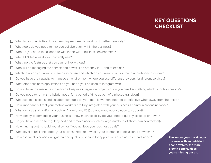## **KEY QUESTIONS CHECKLIST**

- What types of activities do your employees need to work on together remotely?
- What tools do you need to improve collaboration within the business?
- Who do you need to collaborate with in the wider business environment?
- What PBX features do you currently use?
- What are the features that you cannot live without?
- Who will be managing the service and how skilled are they in IT and telecoms?
- Which tasks do you want to manage in-house and which do you want to outsource to a third-party provider?
- Do you have the capacity to manage an environment where you use different providers for di˝erent services?
- What other business applications do you need your solution to integrate with?
- Do you have the resources to manage bespoke integration projects or do you need something which is 'out-of-the-box'?
- Do you need to run with a hybrid model for a period of time as part of a phased transition?
- What communications and collaboration tools do your mobile workers need to be effective when away from the office?
- How important is it that your mobile workers are fully integrated with your business's communications network?
- What devices and platforms (such as Android and iOS) do you need your solution to support?
- How 'peaky' is demand in your business how much flexibility do you need to quickly scale up or down?
- Do you have a need to regularly add and remove users (such as large numbers of short-term contractors)?
- How much growth should you allow for if you achieve your business goals?
- What level of resilience does your business require what's your tolerance to occasional downtime? <table>\n<tbody>\n<tr>\n<td>□ How much growth should you allow for if you achieve your business goals?</td>\n</tr>\n<tr>\n<td>□ What level of resilience does your business require – what's your tolerance to occasional downtime?</td>\n</tr>\n<tr>\n<td>□ How essential is consistent, guaranteed quality of service for applications such as voice and video?</td>\n</tr>\n<tr>\n<td>□ How essential is consistent, guaranteed quality of service for applications such as voice and video?</td>\n</tr>\n<tr>\n<td>□ How essential is consistent, guaranteed quality of service for applications such as voice and video?</td>\n</tr>\n<tr>\n<td>□ How essential is consistent, the number of business with an outer phrase, you're missing out or their possible.</td>\n</tr>\n</tbody>\n</table>
	- How essential is consistent, guaranteed quality of service for applications such as voice and video?

**The longer you shackle your business with an outdated phone system, the more you're missing out on.**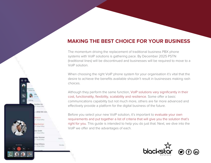### **MAKING THE BEST CHOICE FOR YOUR BUSINESS**

The momentum driving the replacement of traditional business PBX phone systems with VoIP solutions is gathering pace. By December 2025 PSTN (traditional lines) will be discontinued and businesses will be required to move to a VoIP solution.

When choosing the right VoIP phone system for your organisation it's vital that the desire to achieve the benefits available shouldn't result in businesses making rash choices.

Although they perform the same function, VoIP solutions vary significantly in their cost, functionality, flexibility, scalability and resilience. Some offer a basic communications capability but not much more, others are far more advanced and effectively provide a platform for the digital business of the future.

Before you select your new VoIP solution, it's important to evaluate your own requirements and put together a list of criteria that will give you the solution that's right for you. This guide is intended to help you do just that. Next, we dive into the VoIP we offer and the advantages of each.



固

Santher Air

650 555-121

is Williams

Internation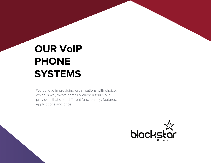# **OUR VoIP PHONE SYSTEMS**

We believe in providing organisations with choice, which is why we've carefully chosen four VoIP providers that offer different functionality, features, applications and price.

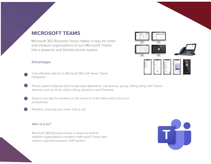### **MICROSOFT TEAMS**

Microsoft 365 Business Voice makes it easy for small and medium organizations to turn Microsoft Teams into a powerful and flexible phone system.

### Advantages

- Cost-effective add-on to Microsoft 365 with deep Teams integration
- 52 Phone system features that include auto attendants, call queues, group calling along with Teams features such as Chat, video calling, presence and Channels
- $\left(3\right)$ Easy-to-use app for workers on the move or in the office with a focus on productivity
	- Resilient, ensuring you never miss a call

#### Who is it for?

45

Microsoft 365 Business Voice is aimed at small to medium organisations invested in Microsoft Teams who require a general purpose VoIP system.



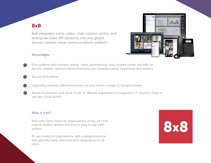### **8x8**

8x8 integrates voice, video, chat, contact centre, and enterprise-class API solutions into one global, secure, reliable cloud communications platform.



#### Advantages

5

- One platform with business phone, video conferencing, chat, contact centre and APIs for secure, reliable communications that keep your business ready, responsive and resilient.
- Secure and reliable.
- Upgrading between different licenses, as your needs change, is straight forward.
- $(4)$ Simple to provision and quick to set up. Minimal requirement for support or IT resource. Easy to use app. It just works!

#### Who is it for?

8x8 is the ideal choice for organisations of any size that require reliable, feature-rich and an easy to use VoIP system.

It's also suited to organisations with a global presence that want the same communication experience for all users.

**8x8**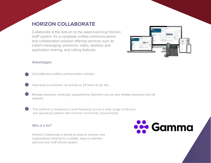### **HORIZON COLLABORATE**

Collaborate is the bolt-on to the award-winning Horizon VoIP system. It's a complete unified communications and collaboration solution offering services such as instant messaging, presence, video, desktop and application sharing, and calling features.



#### Advantages

1

2

4

Cost-effective unified communication solution.

Very easy to provision, as quickly as 24 hours to go live.

Reliable business continuity, supported by Gamma's secure and reliable business-only UK network. 3

The platform is designed to work flawlessly across a wide range of devices and operating systems with minimal connectivity requirements.

### Who is it for?

Horizon Collaborate is aimed at small to medium size organisations looking for a simple, easy to maintain and low-cost VoIP phone system.

**See** Gamma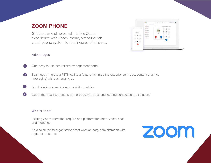### **ZOOM PHONE**

Get the same simple and intuitive Zoom experience with Zoom Phone, a feature-rich cloud phone system for businesses of all sizes.

## Advantages



One easy-to-use centralised management portal

- $\left( 2\right)$ Seamlessly migrate a PSTN call to a feature-rich meeting experience (video, content sharing, messaging) without hanging up
- $\left(3\right)$ Local telephony service across 40+ countries
- 4 Out-of-the-box integrations with productivity apps and leading contact centre solutions

#### Who is it for?

Existing Zoom users that require one platform for video, voice, chat and meetings.

It's also suited to organisations that want an easy administration with a global presence.



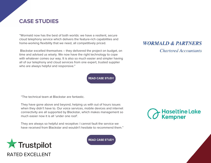### **CASE STUDIES**

"Wormald now has the best of both worlds: we have a resilient, secure cloud telephony service which delivers the feature-rich capabilities and home-working flexibility that we need, all competitively priced.

 Blackstar excelled themselves – they delivered the project on budget, on time and advised us wisely. We now have the right technology to cope with whatever comes our way. It is also so much easier and simpler having all of our telephony and cloud services from one expert, trusted supplier who are always helpful and responsive."

**READ CASE STUDY** 

**Chartered Accountants** 

**WORMALD & PARTNERS** 

"The technical team at Blackstar are fantastic.

They have gone above and beyond, helping us with out of hours issues when they didn't have to. Our voice services, mobile devices and internet connectivity are all supported by Blackstar, which makes management so much easier now it is all 'under one roof'.

They are always so helpful and receptive: I cannot fault the service we have received from Blackstar and wouldn't hesitate to recommend them."





**READ CASE STUDY**